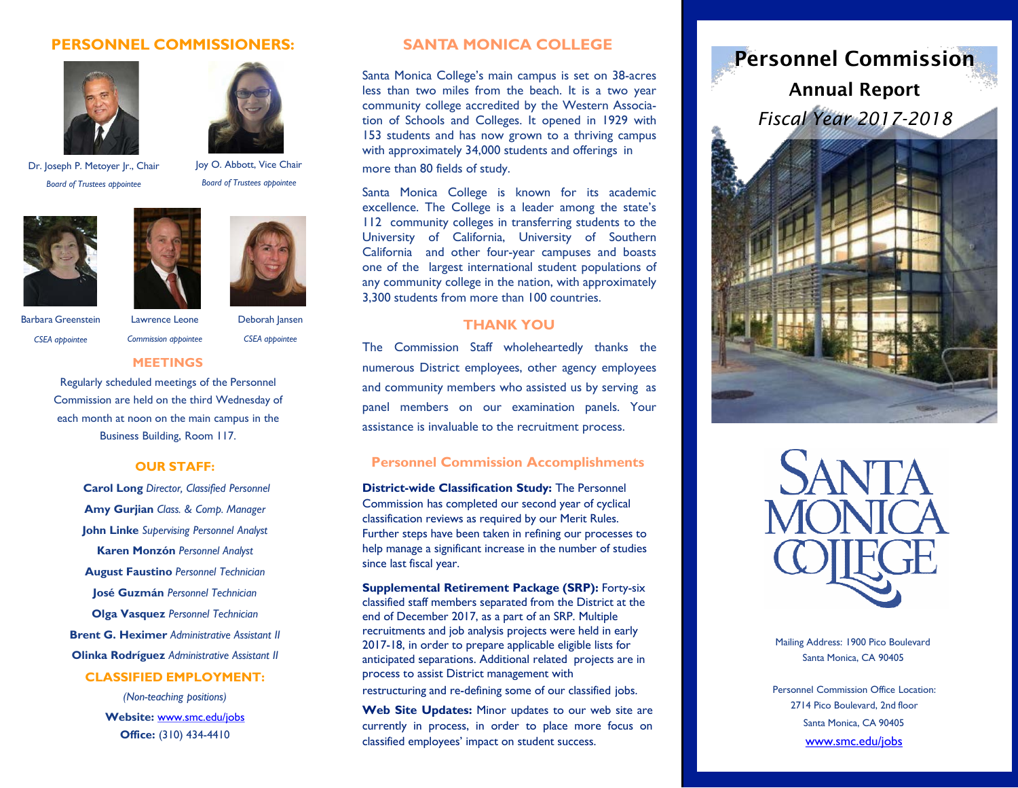## **PERSONNEL COMMISSIONERS:**





Dr. Joseph P. Metoyer Jr., Chair *Board of Trustees appointee*

Joy O. Abbott, Vice Chair *Board of Trustees appointee*





Barbara Greenstein *CSEA appointee*

Lawrence Leone

Deborah Jansen

*CSEA appointee*

# *Commission appointee* **MEETINGS**

Regularly scheduled meetings of the Personnel Commission are held on the third Wednesday of each month at noon on the main campus in the Business Building, Room 117.

#### **OUR STAFF:**

**Carol Long** *Director, Classified Personnel* **Amy Gurjian** *Class. & Comp. Manager* **John Linke** *Supervising Personnel Analyst* **Karen Monzón** *Personnel Analyst* **August Faustino** *Personnel Technician* **José Guzmán** *Personnel Technician* **Olga Vasquez** *Personnel Technician* **Brent G. Heximer** *Administrative Assistant II* **Olinka Rodríguez** *Administrative Assistant II*

## **CLASSIFIED EMPLOYMENT:**

*(Non-teaching positions)* **Website:** [www.smc.edu/jobs](http://www.smc.edu/jobs) **Office:** (310) 434-4410

### **SANTA MONICA COLLEGE**

Santa Monica College's main campus is set on 38-acres less than two miles from the beach. It is a two year community college accredited by the Western Association of Schools and Colleges. It opened in 1929 with 153 students and has now grown to a thriving campus with approximately 34,000 students and offerings in more than 80 fields of study.

Santa Monica College is known for its academic excellence. The College is a leader among the state's 112 community colleges in transferring students to the University of California, University of Southern California and other four-year campuses and boasts one of the largest international student populations of any community college in the nation, with approximately 3,300 students from more than 100 countries.

### **THANK YOU**

The Commission Staff wholeheartedly thanks the numerous District employees, other agency employees and community members who assisted us by serving as panel members on our examination panels. Your assistance is invaluable to the recruitment process.

### **Personnel Commission Accomplishments**

**District-wide Classification Study:** The Personnel Commission has completed our second year of cyclical classification reviews as required by our Merit Rules. Further steps have been taken in refining our processes to help manage a significant increase in the number of studies since last fiscal year.

**Supplemental Retirement Package (SRP):** Forty-six classified staff members separated from the District at the end of December 2017, as a part of an SRP. Multiple recruitments and job analysis projects were held in early 2017-18, in order to prepare applicable eligible lists for anticipated separations. Additional related projects are in process to assist District management with

restructuring and re-defining some of our classified jobs.

**Web Site Updates:** Minor updates to our web site are currently in process, in order to place more focus on classified employees' impact on student success.





Mailing Address: 1900 Pico Boulevard Santa Monica, CA 90405

Personnel Commission Office Location: 2714 Pico Boulevard, 2nd floor Santa Monica, CA 90405 [www.smc.edu/jobs](http://www.smc.edu/jobs)